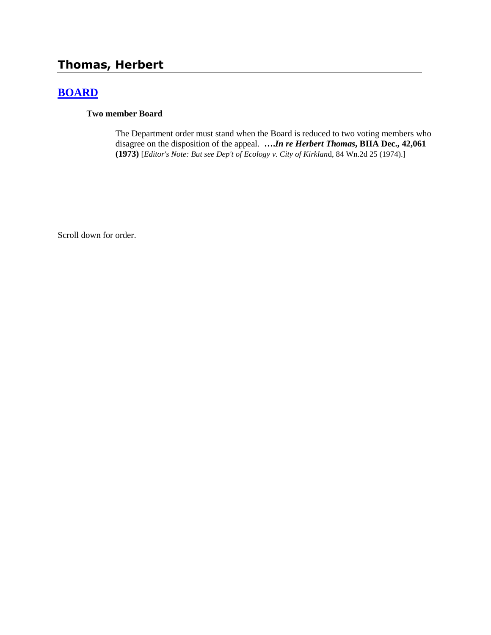# **Thomas, Herbert**

## **[BOARD](http://www.biia.wa.gov/SDSubjectIndex.html#BOARD)**

### **Two member Board**

The Department order must stand when the Board is reduced to two voting members who disagree on the disposition of the appeal. **….***In re Herbert Thomas***, BIIA Dec., 42,061 (1973)** [*Editor's Note: But see Dep't of Ecology v. City of Kirklan*d, 84 Wn.2d 25 (1974).]

Scroll down for order.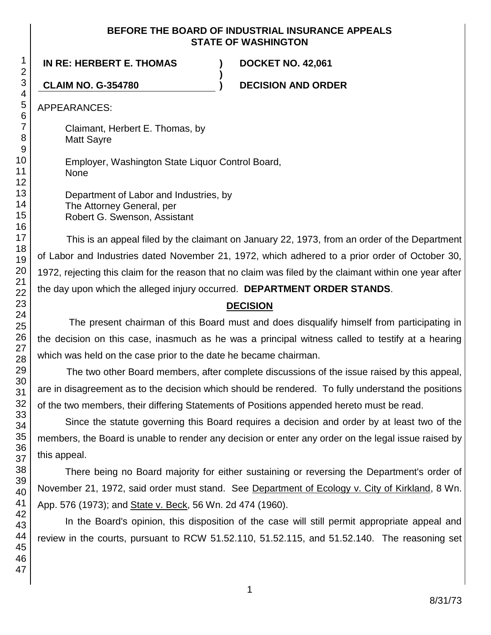### **BEFORE THE BOARD OF INDUSTRIAL INSURANCE APPEALS STATE OF WASHINGTON**

**)**

**IN RE: HERBERT E. THOMAS ) DOCKET NO. 42,061**

**CLAIM NO. G-354780 ) DECISION AND ORDER**

APPEARANCES:

Claimant, Herbert E. Thomas, by Matt Sayre

Employer, Washington State Liquor Control Board, None

Department of Labor and Industries, by The Attorney General, per Robert G. Swenson, Assistant

This is an appeal filed by the claimant on January 22, 1973, from an order of the Department of Labor and Industries dated November 21, 1972, which adhered to a prior order of October 30, 1972, rejecting this claim for the reason that no claim was filed by the claimant within one year after the day upon which the alleged injury occurred. **DEPARTMENT ORDER STANDS**.

## **DECISION**

The present chairman of this Board must and does disqualify himself from participating in the decision on this case, inasmuch as he was a principal witness called to testify at a hearing which was held on the case prior to the date he became chairman.

The two other Board members, after complete discussions of the issue raised by this appeal, are in disagreement as to the decision which should be rendered. To fully understand the positions of the two members, their differing Statements of Positions appended hereto must be read.

Since the statute governing this Board requires a decision and order by at least two of the members, the Board is unable to render any decision or enter any order on the legal issue raised by this appeal.

There being no Board majority for either sustaining or reversing the Department's order of November 21, 1972, said order must stand. See Department of Ecology v. City of Kirkland, 8 Wn. App. 576 (1973); and State v. Beck, 56 Wn. 2d 474 (1960).

In the Board's opinion, this disposition of the case will still permit appropriate appeal and review in the courts, pursuant to RCW 51.52.110, 51.52.115, and 51.52.140. The reasoning set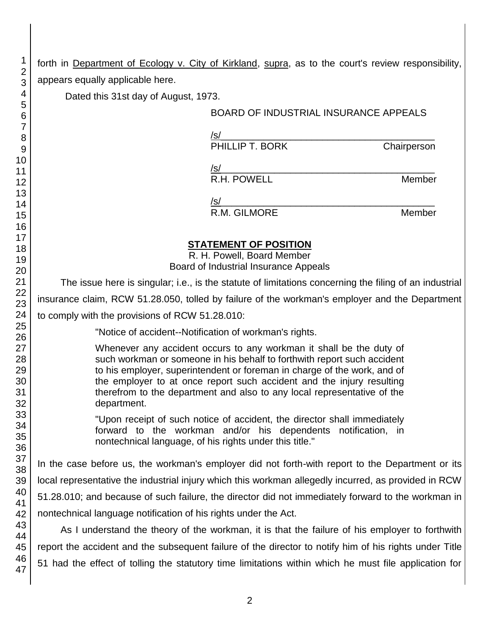forth in Department of Ecology v. City of Kirkland, supra, as to the court's review responsibility, appears equally applicable here.

Dated this 31st day of August, 1973.

### BOARD OF INDUSTRIAL INSURANCE APPEALS

/s/\_\_\_\_\_\_\_\_\_\_\_\_\_\_\_\_\_\_\_\_\_\_\_\_\_\_\_\_\_\_\_\_\_\_\_\_\_\_\_\_ PHILLIP T. BORK Chairperson

/s/\_\_\_\_\_\_\_\_\_\_\_\_\_\_\_\_\_\_\_\_\_\_\_\_\_\_\_\_\_\_\_\_\_\_\_\_\_\_\_\_

R.H. POWELL **Member** 

/s/\_\_\_\_\_\_\_\_\_\_\_\_\_\_\_\_\_\_\_\_\_\_\_\_\_\_\_\_\_\_\_\_\_\_\_\_\_\_\_\_ R.M. GILMORE Member

## **STATEMENT OF POSITION**

R. H. Powell, Board Member Board of Industrial Insurance Appeals

The issue here is singular; i.e., is the statute of limitations concerning the filing of an industrial insurance claim, RCW 51.28.050, tolled by failure of the workman's employer and the Department

to comply with the provisions of RCW 51.28.010:

"Notice of accident--Notification of workman's rights.

Whenever any accident occurs to any workman it shall be the duty of such workman or someone in his behalf to forthwith report such accident to his employer, superintendent or foreman in charge of the work, and of the employer to at once report such accident and the injury resulting therefrom to the department and also to any local representative of the department.

"Upon receipt of such notice of accident, the director shall immediately forward to the workman and/or his dependents notification, in nontechnical language, of his rights under this title."

In the case before us, the workman's employer did not forth-with report to the Department or its local representative the industrial injury which this workman allegedly incurred, as provided in RCW 51.28.010; and because of such failure, the director did not immediately forward to the workman in nontechnical language notification of his rights under the Act.

As I understand the theory of the workman, it is that the failure of his employer to forthwith report the accident and the subsequent failure of the director to notify him of his rights under Title 51 had the effect of tolling the statutory time limitations within which he must file application for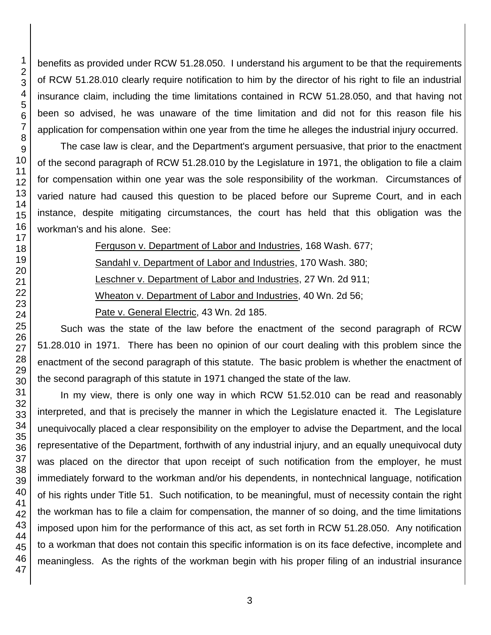benefits as provided under RCW 51.28.050. I understand his argument to be that the requirements of RCW 51.28.010 clearly require notification to him by the director of his right to file an industrial insurance claim, including the time limitations contained in RCW 51.28.050, and that having not been so advised, he was unaware of the time limitation and did not for this reason file his application for compensation within one year from the time he alleges the industrial injury occurred.

The case law is clear, and the Department's argument persuasive, that prior to the enactment of the second paragraph of RCW 51.28.010 by the Legislature in 1971, the obligation to file a claim for compensation within one year was the sole responsibility of the workman. Circumstances of varied nature had caused this question to be placed before our Supreme Court, and in each instance, despite mitigating circumstances, the court has held that this obligation was the workman's and his alone. See:

Ferguson v. Department of Labor and Industries, 168 Wash. 677;

Sandahl v. Department of Labor and Industries, 170 Wash. 380;

Leschner v. Department of Labor and Industries, 27 Wn. 2d 911;

Wheaton v. Department of Labor and Industries, 40 Wn. 2d 56;

Pate v. General Electric, 43 Wn. 2d 185.

Such was the state of the law before the enactment of the second paragraph of RCW 51.28.010 in 1971. There has been no opinion of our court dealing with this problem since the enactment of the second paragraph of this statute. The basic problem is whether the enactment of the second paragraph of this statute in 1971 changed the state of the law.

In my view, there is only one way in which RCW 51.52.010 can be read and reasonably interpreted, and that is precisely the manner in which the Legislature enacted it. The Legislature unequivocally placed a clear responsibility on the employer to advise the Department, and the local representative of the Department, forthwith of any industrial injury, and an equally unequivocal duty was placed on the director that upon receipt of such notification from the employer, he must immediately forward to the workman and/or his dependents, in nontechnical language, notification of his rights under Title 51. Such notification, to be meaningful, must of necessity contain the right the workman has to file a claim for compensation, the manner of so doing, and the time limitations imposed upon him for the performance of this act, as set forth in RCW 51.28.050. Any notification to a workman that does not contain this specific information is on its face defective, incomplete and meaningless. As the rights of the workman begin with his proper filing of an industrial insurance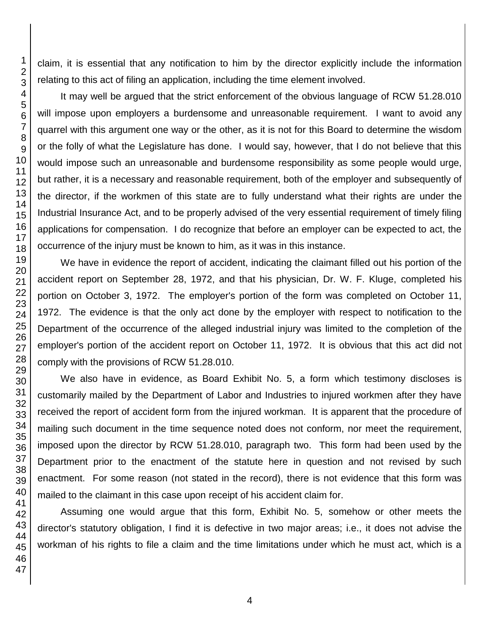claim, it is essential that any notification to him by the director explicitly include the information relating to this act of filing an application, including the time element involved.

It may well be argued that the strict enforcement of the obvious language of RCW 51.28.010 will impose upon employers a burdensome and unreasonable requirement. I want to avoid any quarrel with this argument one way or the other, as it is not for this Board to determine the wisdom or the folly of what the Legislature has done. I would say, however, that I do not believe that this would impose such an unreasonable and burdensome responsibility as some people would urge, but rather, it is a necessary and reasonable requirement, both of the employer and subsequently of the director, if the workmen of this state are to fully understand what their rights are under the Industrial Insurance Act, and to be properly advised of the very essential requirement of timely filing applications for compensation. I do recognize that before an employer can be expected to act, the occurrence of the injury must be known to him, as it was in this instance.

We have in evidence the report of accident, indicating the claimant filled out his portion of the accident report on September 28, 1972, and that his physician, Dr. W. F. Kluge, completed his portion on October 3, 1972. The employer's portion of the form was completed on October 11, 1972. The evidence is that the only act done by the employer with respect to notification to the Department of the occurrence of the alleged industrial injury was limited to the completion of the employer's portion of the accident report on October 11, 1972. It is obvious that this act did not comply with the provisions of RCW 51.28.010.

We also have in evidence, as Board Exhibit No. 5, a form which testimony discloses is customarily mailed by the Department of Labor and Industries to injured workmen after they have received the report of accident form from the injured workman. It is apparent that the procedure of mailing such document in the time sequence noted does not conform, nor meet the requirement, imposed upon the director by RCW 51.28.010, paragraph two. This form had been used by the Department prior to the enactment of the statute here in question and not revised by such enactment. For some reason (not stated in the record), there is not evidence that this form was mailed to the claimant in this case upon receipt of his accident claim for.

Assuming one would argue that this form, Exhibit No. 5, somehow or other meets the director's statutory obligation, I find it is defective in two major areas; i.e., it does not advise the workman of his rights to file a claim and the time limitations under which he must act, which is a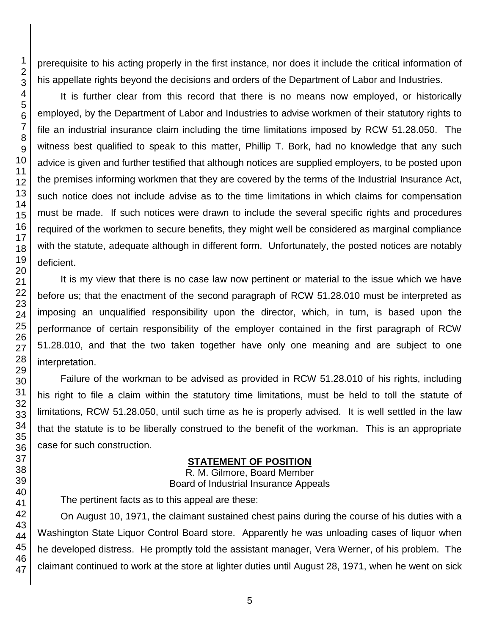prerequisite to his acting properly in the first instance, nor does it include the critical information of his appellate rights beyond the decisions and orders of the Department of Labor and Industries.

It is further clear from this record that there is no means now employed, or historically employed, by the Department of Labor and Industries to advise workmen of their statutory rights to file an industrial insurance claim including the time limitations imposed by RCW 51.28.050. The witness best qualified to speak to this matter, Phillip T. Bork, had no knowledge that any such advice is given and further testified that although notices are supplied employers, to be posted upon the premises informing workmen that they are covered by the terms of the Industrial Insurance Act, such notice does not include advise as to the time limitations in which claims for compensation must be made. If such notices were drawn to include the several specific rights and procedures required of the workmen to secure benefits, they might well be considered as marginal compliance with the statute, adequate although in different form. Unfortunately, the posted notices are notably

It is my view that there is no case law now pertinent or material to the issue which we have before us; that the enactment of the second paragraph of RCW 51.28.010 must be interpreted as imposing an unqualified responsibility upon the director, which, in turn, is based upon the performance of certain responsibility of the employer contained in the first paragraph of RCW 51.28.010, and that the two taken together have only one meaning and are subject to one

Failure of the workman to be advised as provided in RCW 51.28.010 of his rights, including his right to file a claim within the statutory time limitations, must be held to toll the statute of limitations, RCW 51.28.050, until such time as he is properly advised. It is well settled in the law that the statute is to be liberally construed to the benefit of the workman. This is an appropriate case for such construction.

### **STATEMENT OF POSITION**

R. M. Gilmore, Board Member Board of Industrial Insurance Appeals

The pertinent facts as to this appeal are these:

On August 10, 1971, the claimant sustained chest pains during the course of his duties with a Washington State Liquor Control Board store. Apparently he was unloading cases of liquor when he developed distress. He promptly told the assistant manager, Vera Werner, of his problem. The claimant continued to work at the store at lighter duties until August 28, 1971, when he went on sick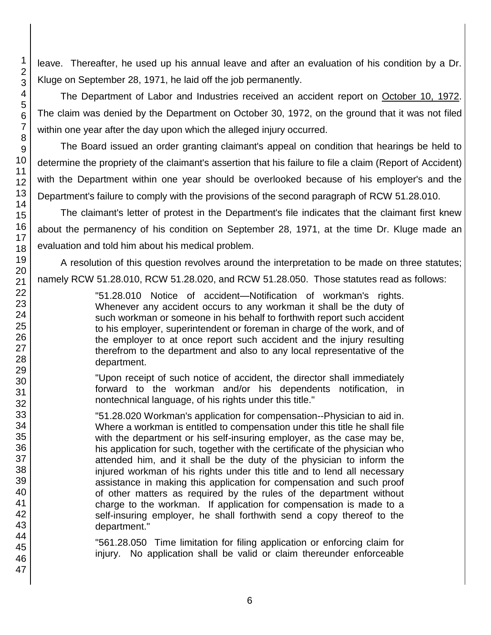leave. Thereafter, he used up his annual leave and after an evaluation of his condition by a Dr. Kluge on September 28, 1971, he laid off the job permanently.

The Department of Labor and Industries received an accident report on October 10, 1972. The claim was denied by the Department on October 30, 1972, on the ground that it was not filed within one year after the day upon which the alleged injury occurred.

The Board issued an order granting claimant's appeal on condition that hearings be held to determine the propriety of the claimant's assertion that his failure to file a claim (Report of Accident) with the Department within one year should be overlooked because of his employer's and the Department's failure to comply with the provisions of the second paragraph of RCW 51.28.010.

The claimant's letter of protest in the Department's file indicates that the claimant first knew about the permanency of his condition on September 28, 1971, at the time Dr. Kluge made an evaluation and told him about his medical problem.

A resolution of this question revolves around the interpretation to be made on three statutes; namely RCW 51.28.010, RCW 51.28.020, and RCW 51.28.050. Those statutes read as follows:

> "51.28.010 Notice of accident—Notification of workman's rights. Whenever any accident occurs to any workman it shall be the duty of such workman or someone in his behalf to forthwith report such accident to his employer, superintendent or foreman in charge of the work, and of the employer to at once report such accident and the injury resulting therefrom to the department and also to any local representative of the department.

> "Upon receipt of such notice of accident, the director shall immediately forward to the workman and/or his dependents notification, in nontechnical language, of his rights under this title."

> "51.28.020 Workman's application for compensation--Physician to aid in. Where a workman is entitled to compensation under this title he shall file with the department or his self-insuring employer, as the case may be, his application for such, together with the certificate of the physician who attended him, and it shall be the duty of the physician to inform the injured workman of his rights under this title and to lend all necessary assistance in making this application for compensation and such proof of other matters as required by the rules of the department without charge to the workman. If application for compensation is made to a self-insuring employer, he shall forthwith send a copy thereof to the department."

> "561.28.050 Time limitation for filing application or enforcing claim for injury. No application shall be valid or claim thereunder enforceable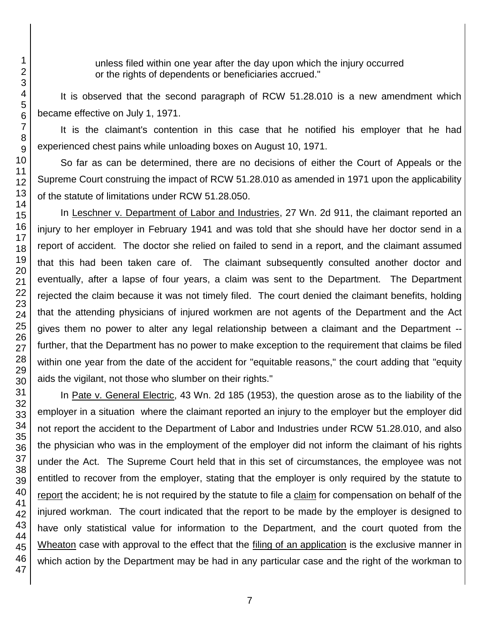unless filed within one year after the day upon which the injury occurred or the rights of dependents or beneficiaries accrued."

It is observed that the second paragraph of RCW 51.28.010 is a new amendment which became effective on July 1, 1971.

It is the claimant's contention in this case that he notified his employer that he had experienced chest pains while unloading boxes on August 10, 1971.

So far as can be determined, there are no decisions of either the Court of Appeals or the Supreme Court construing the impact of RCW 51.28.010 as amended in 1971 upon the applicability of the statute of limitations under RCW 51.28.050.

In Leschner v. Department of Labor and Industries, 27 Wn. 2d 911, the claimant reported an injury to her employer in February 1941 and was told that she should have her doctor send in a report of accident. The doctor she relied on failed to send in a report, and the claimant assumed that this had been taken care of. The claimant subsequently consulted another doctor and eventually, after a lapse of four years, a claim was sent to the Department. The Department rejected the claim because it was not timely filed. The court denied the claimant benefits, holding that the attending physicians of injured workmen are not agents of the Department and the Act gives them no power to alter any legal relationship between a claimant and the Department - further, that the Department has no power to make exception to the requirement that claims be filed within one year from the date of the accident for "equitable reasons," the court adding that "equity aids the vigilant, not those who slumber on their rights."

In Pate v. General Electric, 43 Wn. 2d 185 (1953), the question arose as to the liability of the employer in a situation where the claimant reported an injury to the employer but the employer did not report the accident to the Department of Labor and Industries under RCW 51.28.010, and also the physician who was in the employment of the employer did not inform the claimant of his rights under the Act. The Supreme Court held that in this set of circumstances, the employee was not entitled to recover from the employer, stating that the employer is only required by the statute to report the accident; he is not required by the statute to file a claim for compensation on behalf of the injured workman. The court indicated that the report to be made by the employer is designed to have only statistical value for information to the Department, and the court quoted from the Wheaton case with approval to the effect that the filing of an application is the exclusive manner in which action by the Department may be had in any particular case and the right of the workman to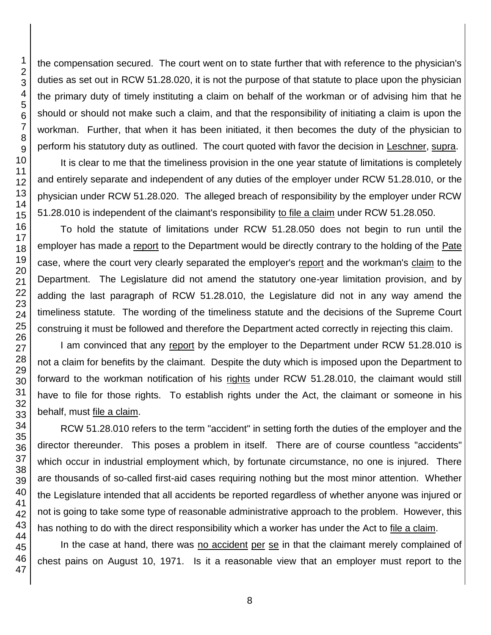the compensation secured. The court went on to state further that with reference to the physician's duties as set out in RCW 51.28.020, it is not the purpose of that statute to place upon the physician the primary duty of timely instituting a claim on behalf of the workman or of advising him that he should or should not make such a claim, and that the responsibility of initiating a claim is upon the workman. Further, that when it has been initiated, it then becomes the duty of the physician to perform his statutory duty as outlined. The court quoted with favor the decision in Leschner, supra.

It is clear to me that the timeliness provision in the one year statute of limitations is completely and entirely separate and independent of any duties of the employer under RCW 51.28.010, or the physician under RCW 51.28.020. The alleged breach of responsibility by the employer under RCW 51.28.010 is independent of the claimant's responsibility to file a claim under RCW 51.28.050.

To hold the statute of limitations under RCW 51.28.050 does not begin to run until the employer has made a report to the Department would be directly contrary to the holding of the Pate case, where the court very clearly separated the employer's report and the workman's claim to the Department. The Legislature did not amend the statutory one-year limitation provision, and by adding the last paragraph of RCW 51.28.010, the Legislature did not in any way amend the timeliness statute. The wording of the timeliness statute and the decisions of the Supreme Court construing it must be followed and therefore the Department acted correctly in rejecting this claim.

I am convinced that any report by the employer to the Department under RCW 51.28.010 is not a claim for benefits by the claimant. Despite the duty which is imposed upon the Department to forward to the workman notification of his rights under RCW 51.28.010, the claimant would still have to file for those rights. To establish rights under the Act, the claimant or someone in his behalf, must file a claim.

RCW 51.28.010 refers to the term "accident" in setting forth the duties of the employer and the director thereunder. This poses a problem in itself. There are of course countless "accidents" which occur in industrial employment which, by fortunate circumstance, no one is injured. There are thousands of so-called first-aid cases requiring nothing but the most minor attention. Whether the Legislature intended that all accidents be reported regardless of whether anyone was injured or not is going to take some type of reasonable administrative approach to the problem. However, this has nothing to do with the direct responsibility which a worker has under the Act to file a claim.

In the case at hand, there was no accident per se in that the claimant merely complained of chest pains on August 10, 1971. Is it a reasonable view that an employer must report to the